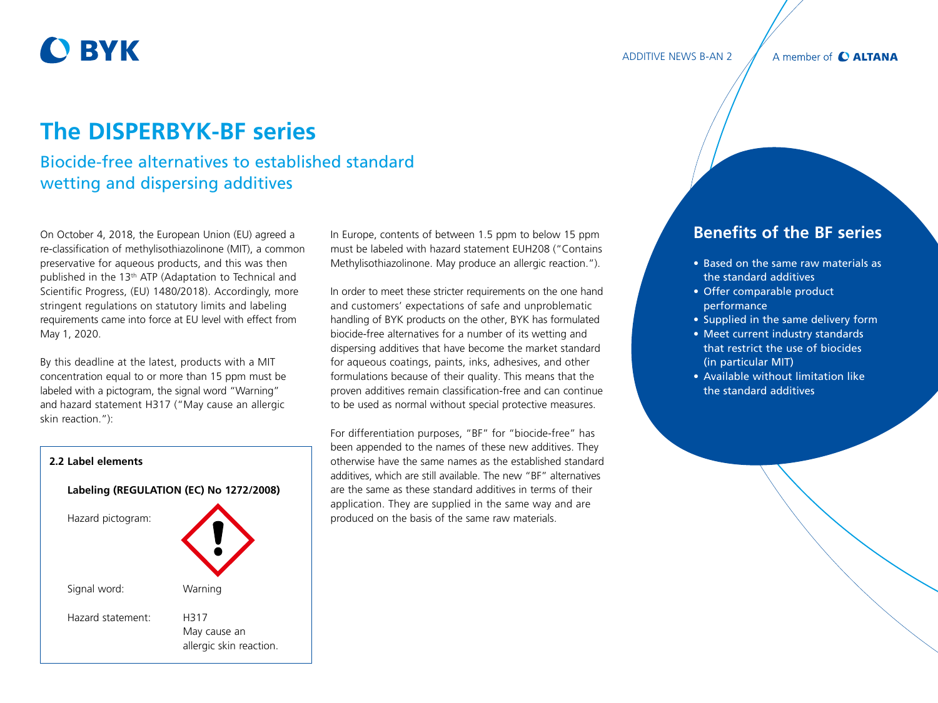# **O BYK**

#### ADDITIVE NEWS B-AN 2

A member of C ALTANA

## **The DISPERBYK-BF series**

## Biocide-free alternatives to established standard wetting and dispersing additives

On October 4, 2018, the European Union (EU) agreed a re-classification of methylisothiazolinone (MIT), a common preservative for aqueous products, and this was then published in the 13th ATP (Adaptation to Technical and Scientific Progress, (EU) 1480/2018). Accordingly, more stringent regulations on statutory limits and labeling requirements came into force at EU level with effect from May 1, 2020.

By this deadline at the latest, products with a MIT concentration equal to or more than 15 ppm must be labeled with a pictogram, the signal word "Warning" and hazard statement H317 ("May cause an allergic skin reaction."):



In Europe, contents of between 1.5 ppm to below 15 ppm must be labeled with hazard statement EUH208 ("Contains Methylisothiazolinone. May produce an allergic reaction.").

In order to meet these stricter requirements on the one hand and customers' expectations of safe and unproblematic handling of BYK products on the other, BYK has formulated biocide-free alternatives for a number of its wetting and dispersing additives that have become the market standard for aqueous coatings, paints, inks, adhesives, and other formulations because of their quality. This means that the proven additives remain classification-free and can continue to be used as normal without special protective measures.

For differentiation purposes, "BF" for "biocide-free" has been appended to the names of these new additives. They otherwise have the same names as the established standard additives, which are still available. The new "BF" alternatives are the same as these standard additives in terms of their application. They are supplied in the same way and are produced on the basis of the same raw materials.

### **Benefits of the BF series**

- Based on the same raw materials as the standard additives
- Offer comparable product performance
- Supplied in the same delivery form
- Meet current industry standards that restrict the use of biocides (in particular MIT)
- Available without limitation like the standard additives